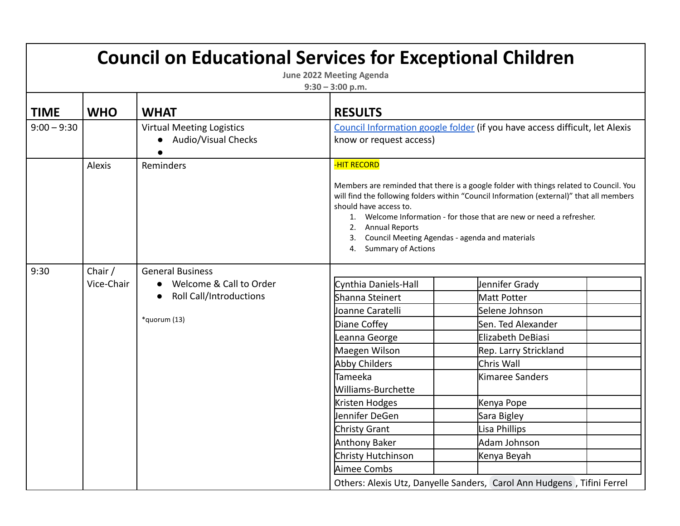| <b>Council on Educational Services for Exceptional Children</b><br><b>June 2022 Meeting Agenda</b><br>$9:30 - 3:00$ p.m. |                       |                                                                                                      |                                                                                                                                                                                                                                                                                          |                                                                                                                                                                                                                                                                                                             |  |
|--------------------------------------------------------------------------------------------------------------------------|-----------------------|------------------------------------------------------------------------------------------------------|------------------------------------------------------------------------------------------------------------------------------------------------------------------------------------------------------------------------------------------------------------------------------------------|-------------------------------------------------------------------------------------------------------------------------------------------------------------------------------------------------------------------------------------------------------------------------------------------------------------|--|
| <b>TIME</b>                                                                                                              | <b>WHO</b>            | <b>WHAT</b>                                                                                          | <b>RESULTS</b>                                                                                                                                                                                                                                                                           |                                                                                                                                                                                                                                                                                                             |  |
| $9:00 - 9:30$                                                                                                            |                       | <b>Virtual Meeting Logistics</b><br>Audio/Visual Checks                                              | know or request access)                                                                                                                                                                                                                                                                  | Council Information google folder (if you have access difficult, let Alexis                                                                                                                                                                                                                                 |  |
|                                                                                                                          | Alexis                | Reminders                                                                                            | <b>-HIT RECORD</b><br>should have access to.<br>1.<br><b>Annual Reports</b><br>2.<br><b>Summary of Actions</b><br>4.                                                                                                                                                                     | Members are reminded that there is a google folder with things related to Council. You<br>will find the following folders within "Council Information (external)" that all members<br>Welcome Information - for those that are new or need a refresher.<br>Council Meeting Agendas - agenda and materials   |  |
| 9:30                                                                                                                     | Chair /<br>Vice-Chair | <b>General Business</b><br>Welcome & Call to Order<br><b>Roll Call/Introductions</b><br>*quorum (13) | Cynthia Daniels-Hall<br>Shanna Steinert<br>Joanne Caratelli<br>Diane Coffey<br>Leanna George<br>Maegen Wilson<br>Abby Childers<br><b>Tameeka</b><br>Williams-Burchette<br>Kristen Hodges<br>Jennifer DeGen<br>Christy Grant<br><b>Anthony Baker</b><br>Christy Hutchinson<br>Aimee Combs | Jennifer Grady<br>Matt Potter<br>Selene Johnson<br>Sen. Ted Alexander<br>Elizabeth DeBiasi<br>Rep. Larry Strickland<br>Chris Wall<br>Kimaree Sanders<br>Kenya Pope<br>Sara Bigley<br>Lisa Phillips<br>Adam Johnson<br>Kenya Beyah<br>Others: Alexis Utz, Danyelle Sanders, Carol Ann Hudgens, Tifini Ferrel |  |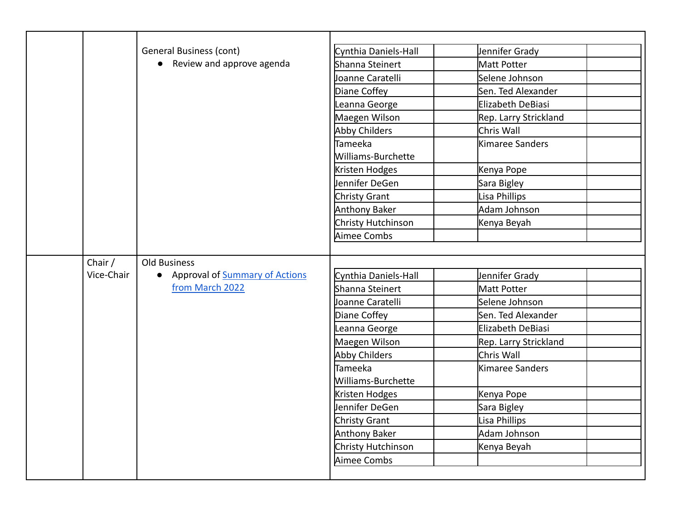|            | <b>General Business (cont)</b>   | Cynthia Daniels-Hall | Jennifer Grady        |
|------------|----------------------------------|----------------------|-----------------------|
|            | • Review and approve agenda      | Shanna Steinert      | Matt Potter           |
|            |                                  | Joanne Caratelli     | Selene Johnson        |
|            |                                  | Diane Coffey         | Sen. Ted Alexander    |
|            |                                  | Leanna George        | Elizabeth DeBiasi     |
|            |                                  | Maegen Wilson        | Rep. Larry Strickland |
|            |                                  | Abby Childers        | Chris Wall            |
|            |                                  | <b>Tameeka</b>       | Kimaree Sanders       |
|            |                                  | Williams-Burchette   |                       |
|            |                                  | Kristen Hodges       | Kenya Pope            |
|            |                                  | Jennifer DeGen       | Sara Bigley           |
|            |                                  | Christy Grant        | Lisa Phillips         |
|            |                                  | Anthony Baker        | Adam Johnson          |
|            |                                  | Christy Hutchinson   | Kenya Beyah           |
|            |                                  | Aimee Combs          |                       |
|            |                                  |                      |                       |
| Chair /    | Old Business                     |                      |                       |
| Vice-Chair | • Approval of Summary of Actions | Cynthia Daniels-Hall | Jennifer Grady        |
|            | from March 2022                  | Shanna Steinert      | Matt Potter           |
|            |                                  | Joanne Caratelli     | Selene Johnson        |
|            |                                  | Diane Coffey         | Sen. Ted Alexander    |
|            |                                  | Leanna George        | Elizabeth DeBiasi     |
|            |                                  | Maegen Wilson        | Rep. Larry Strickland |
|            |                                  | Abby Childers        | Chris Wall            |
|            |                                  | <b>Tameeka</b>       | Kimaree Sanders       |
|            |                                  | Williams-Burchette   |                       |
|            |                                  | Kristen Hodges       | Kenya Pope            |
|            |                                  | Jennifer DeGen       | Sara Bigley           |
|            |                                  | Christy Grant        | Lisa Phillips         |
|            |                                  | Anthony Baker        | Adam Johnson          |
|            |                                  | Christy Hutchinson   | Kenya Beyah           |
|            |                                  | Aimee Combs          |                       |
|            |                                  |                      |                       |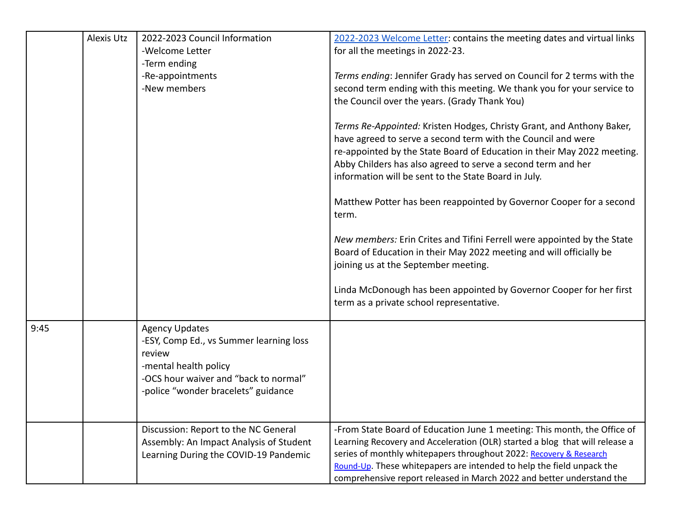|      | <b>Alexis Utz</b> | 2022-2023 Council Information<br>-Welcome Letter<br>-Term ending<br>-Re-appointments<br>-New members                                                                                | 2022-2023 Welcome Letter: contains the meeting dates and virtual links<br>for all the meetings in 2022-23.<br>Terms ending: Jennifer Grady has served on Council for 2 terms with the<br>second term ending with this meeting. We thank you for your service to<br>the Council over the years. (Grady Thank You)<br>Terms Re-Appointed: Kristen Hodges, Christy Grant, and Anthony Baker,<br>have agreed to serve a second term with the Council and were<br>re-appointed by the State Board of Education in their May 2022 meeting.<br>Abby Childers has also agreed to serve a second term and her<br>information will be sent to the State Board in July.<br>Matthew Potter has been reappointed by Governor Cooper for a second<br>term.<br>New members: Erin Crites and Tifini Ferrell were appointed by the State<br>Board of Education in their May 2022 meeting and will officially be<br>joining us at the September meeting. |
|------|-------------------|-------------------------------------------------------------------------------------------------------------------------------------------------------------------------------------|----------------------------------------------------------------------------------------------------------------------------------------------------------------------------------------------------------------------------------------------------------------------------------------------------------------------------------------------------------------------------------------------------------------------------------------------------------------------------------------------------------------------------------------------------------------------------------------------------------------------------------------------------------------------------------------------------------------------------------------------------------------------------------------------------------------------------------------------------------------------------------------------------------------------------------------|
|      |                   |                                                                                                                                                                                     | Linda McDonough has been appointed by Governor Cooper for her first<br>term as a private school representative.                                                                                                                                                                                                                                                                                                                                                                                                                                                                                                                                                                                                                                                                                                                                                                                                                        |
| 9:45 |                   | <b>Agency Updates</b><br>-ESY, Comp Ed., vs Summer learning loss<br>review<br>-mental health policy<br>-OCS hour waiver and "back to normal"<br>-police "wonder bracelets" guidance |                                                                                                                                                                                                                                                                                                                                                                                                                                                                                                                                                                                                                                                                                                                                                                                                                                                                                                                                        |
|      |                   | Discussion: Report to the NC General<br>Assembly: An Impact Analysis of Student<br>Learning During the COVID-19 Pandemic                                                            | -From State Board of Education June 1 meeting: This month, the Office of<br>Learning Recovery and Acceleration (OLR) started a blog that will release a<br>series of monthly whitepapers throughout 2022: Recovery & Research<br>Round-Up. These whitepapers are intended to help the field unpack the<br>comprehensive report released in March 2022 and better understand the                                                                                                                                                                                                                                                                                                                                                                                                                                                                                                                                                        |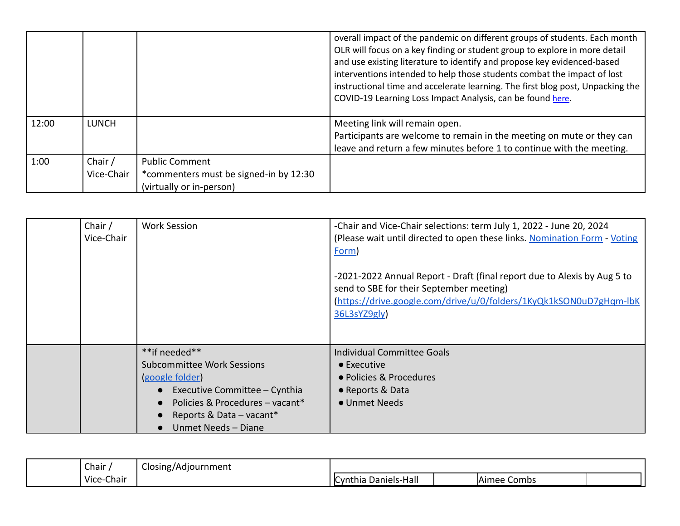|       |                       |                                                                                             | overall impact of the pandemic on different groups of students. Each month<br>OLR will focus on a key finding or student group to explore in more detail<br>and use existing literature to identify and propose key evidenced-based<br>interventions intended to help those students combat the impact of lost<br>instructional time and accelerate learning. The first blog post, Unpacking the<br>COVID-19 Learning Loss Impact Analysis, can be found here. |
|-------|-----------------------|---------------------------------------------------------------------------------------------|----------------------------------------------------------------------------------------------------------------------------------------------------------------------------------------------------------------------------------------------------------------------------------------------------------------------------------------------------------------------------------------------------------------------------------------------------------------|
| 12:00 | <b>LUNCH</b>          |                                                                                             | Meeting link will remain open.<br>Participants are welcome to remain in the meeting on mute or they can<br>leave and return a few minutes before 1 to continue with the meeting.                                                                                                                                                                                                                                                                               |
| 1:00  | Chair /<br>Vice-Chair | <b>Public Comment</b><br>*commenters must be signed-in by 12:30<br>(virtually or in-person) |                                                                                                                                                                                                                                                                                                                                                                                                                                                                |

| Chair /<br>Vice-Chair | <b>Work Session</b>                                                                                                                                                                  | -Chair and Vice-Chair selections: term July 1, 2022 - June 20, 2024<br>(Please wait until directed to open these links. Nomination Form - Voting<br><b>Form</b><br>-2021-2022 Annual Report - Draft (final report due to Alexis by Aug 5 to<br>send to SBE for their September meeting)<br>https://drive.google.com/drive/u/0/folders/1KyQk1kSON0uD7gHam-lbK<br>36L3sYZ9gly |
|-----------------------|--------------------------------------------------------------------------------------------------------------------------------------------------------------------------------------|-----------------------------------------------------------------------------------------------------------------------------------------------------------------------------------------------------------------------------------------------------------------------------------------------------------------------------------------------------------------------------|
|                       | **if needed**<br>Subcommittee Work Sessions<br>google folder)<br>Executive Committee - Cynthia<br>Policies & Procedures - vacant*<br>Reports & Data – vacant*<br>Unmet Needs - Diane | <b>Individual Committee Goals</b><br>$\bullet$ Executive<br>• Policies & Procedures<br>• Reports & Data<br>• Unmet Needs                                                                                                                                                                                                                                                    |

| Chair                             | Closing/Adjournment |                                      |  |                  |  |
|-----------------------------------|---------------------|--------------------------------------|--|------------------|--|
| $\cdots$<br>--<br>Vice-<br>-Chair |                     | . .<br>Daniels-Hall<br>. ICvnt'<br>u |  | Aimee '<br>Combs |  |